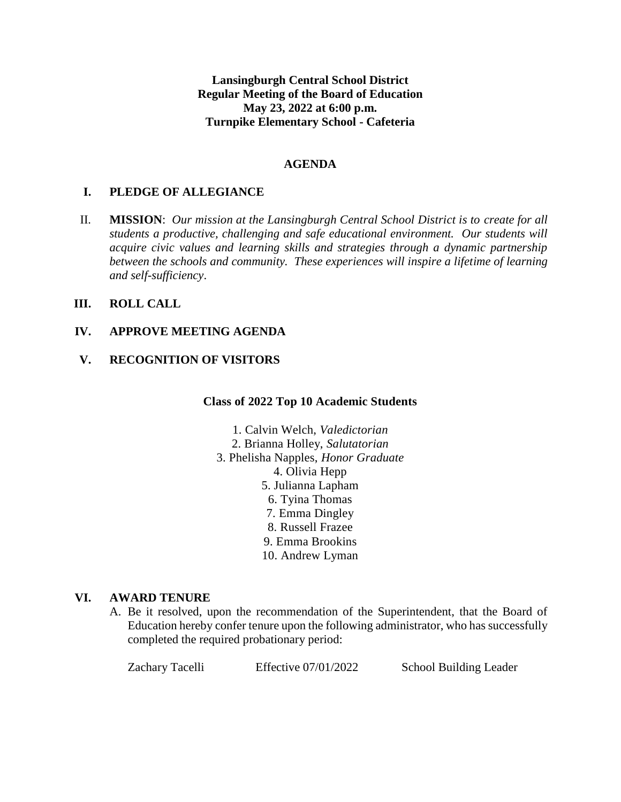**Lansingburgh Central School District Regular Meeting of the Board of Education May 23, 2022 at 6:00 p.m. Turnpike Elementary School - Cafeteria**

### **AGENDA**

# **I. PLEDGE OF ALLEGIANCE**

II. **MISSION**: *Our mission at the Lansingburgh Central School District is to create for all students a productive, challenging and safe educational environment. Our students will acquire civic values and learning skills and strategies through a dynamic partnership between the schools and community. These experiences will inspire a lifetime of learning and self-sufficiency*.

# **III. ROLL CALL**

### **IV. APPROVE MEETING AGENDA**

### **V. RECOGNITION OF VISITORS**

#### **Class of 2022 Top 10 Academic Students**

- 1. Calvin Welch, *Valedictorian*
- 2. Brianna Holley, *Salutatorian*
- 3. Phelisha Napples, *Honor Graduate*
	- 4. Olivia Hepp
	- 5. Julianna Lapham
	- 6. Tyina Thomas
	- 7. Emma Dingley
	- 8. Russell Frazee
	- 9. Emma Brookins
	- 10. Andrew Lyman

#### **VI. AWARD TENURE**

A. Be it resolved, upon the recommendation of the Superintendent, that the Board of Education hereby confer tenure upon the following administrator, who has successfully completed the required probationary period:

| Zachary Tacelli | Effective 07/01/2022 | School Building Leader |
|-----------------|----------------------|------------------------|
|-----------------|----------------------|------------------------|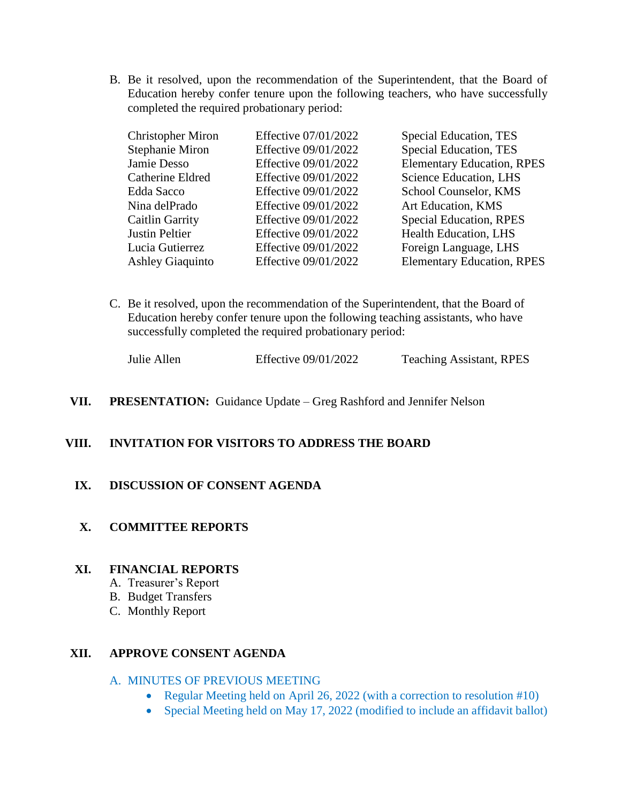B. Be it resolved, upon the recommendation of the Superintendent, that the Board of Education hereby confer tenure upon the following teachers, who have successfully completed the required probationary period:

| Effective 07/01/2022 | Special Education, TES            |
|----------------------|-----------------------------------|
| Effective 09/01/2022 | Special Education, TES            |
| Effective 09/01/2022 | <b>Elementary Education, RPES</b> |
| Effective 09/01/2022 | Science Education, LHS            |
| Effective 09/01/2022 | School Counselor, KMS             |
| Effective 09/01/2022 | Art Education, KMS                |
| Effective 09/01/2022 | <b>Special Education, RPES</b>    |
| Effective 09/01/2022 | <b>Health Education, LHS</b>      |
| Effective 09/01/2022 | Foreign Language, LHS             |
| Effective 09/01/2022 | <b>Elementary Education, RPES</b> |
|                      |                                   |

C. Be it resolved, upon the recommendation of the Superintendent, that the Board of Education hereby confer tenure upon the following teaching assistants, who have successfully completed the required probationary period:

| Julie Allen | Effective 09/01/2022 | <b>Teaching Assistant, RPES</b> |
|-------------|----------------------|---------------------------------|
|-------------|----------------------|---------------------------------|

**VII. PRESENTATION:** Guidance Update – Greg Rashford and Jennifer Nelson

# **VIII. INVITATION FOR VISITORS TO ADDRESS THE BOARD**

# **IX. DISCUSSION OF CONSENT AGENDA**

#### **X. COMMITTEE REPORTS**

# **XI. FINANCIAL REPORTS**

- A. Treasurer's Report
- B. Budget Transfers
- C. Monthly Report

### **XII. APPROVE CONSENT AGENDA**

#### A. MINUTES OF PREVIOUS MEETING

- Regular Meeting held on April 26, 2022 (with a correction to resolution #10)
- Special Meeting held on May 17, 2022 (modified to include an affidavit ballot)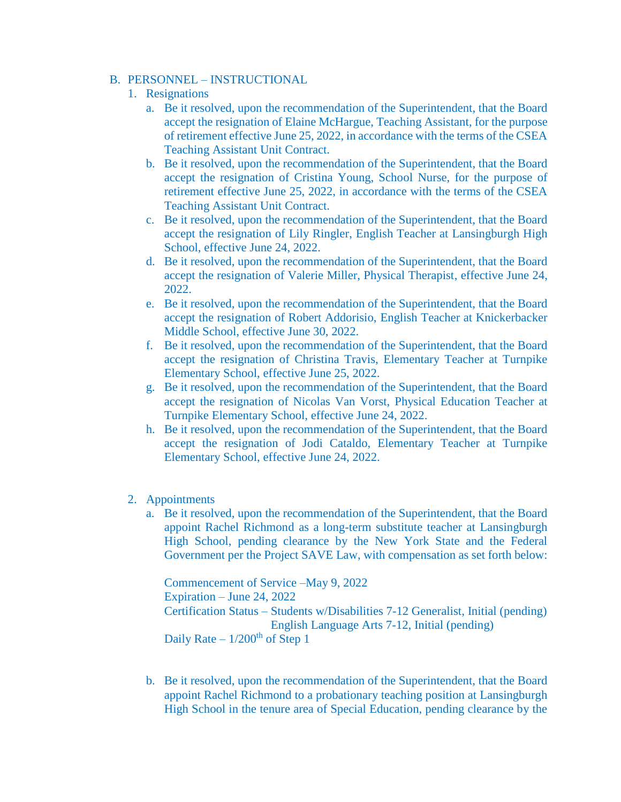# B. PERSONNEL – INSTRUCTIONAL

- 1. Resignations
	- a. Be it resolved, upon the recommendation of the Superintendent, that the Board accept the resignation of Elaine McHargue, Teaching Assistant, for the purpose of retirement effective June 25, 2022, in accordance with the terms of the CSEA Teaching Assistant Unit Contract.
	- b. Be it resolved, upon the recommendation of the Superintendent, that the Board accept the resignation of Cristina Young, School Nurse, for the purpose of retirement effective June 25, 2022, in accordance with the terms of the CSEA Teaching Assistant Unit Contract.
	- c. Be it resolved, upon the recommendation of the Superintendent, that the Board accept the resignation of Lily Ringler, English Teacher at Lansingburgh High School, effective June 24, 2022.
	- d. Be it resolved, upon the recommendation of the Superintendent, that the Board accept the resignation of Valerie Miller, Physical Therapist, effective June 24, 2022.
	- e. Be it resolved, upon the recommendation of the Superintendent, that the Board accept the resignation of Robert Addorisio, English Teacher at Knickerbacker Middle School, effective June 30, 2022.
	- f. Be it resolved, upon the recommendation of the Superintendent, that the Board accept the resignation of Christina Travis, Elementary Teacher at Turnpike Elementary School, effective June 25, 2022.
	- g. Be it resolved, upon the recommendation of the Superintendent, that the Board accept the resignation of Nicolas Van Vorst, Physical Education Teacher at Turnpike Elementary School, effective June 24, 2022.
	- h. Be it resolved, upon the recommendation of the Superintendent, that the Board accept the resignation of Jodi Cataldo, Elementary Teacher at Turnpike Elementary School, effective June 24, 2022.
- 2. Appointments
	- a. Be it resolved, upon the recommendation of the Superintendent, that the Board appoint Rachel Richmond as a long-term substitute teacher at Lansingburgh High School, pending clearance by the New York State and the Federal Government per the Project SAVE Law, with compensation as set forth below:

Commencement of Service –May 9, 2022 Expiration – June 24, 2022 Certification Status – Students w/Disabilities 7-12 Generalist, Initial (pending) English Language Arts 7-12, Initial (pending) Daily Rate –  $1/200<sup>th</sup>$  of Step 1

b. Be it resolved, upon the recommendation of the Superintendent, that the Board appoint Rachel Richmond to a probationary teaching position at Lansingburgh High School in the tenure area of Special Education, pending clearance by the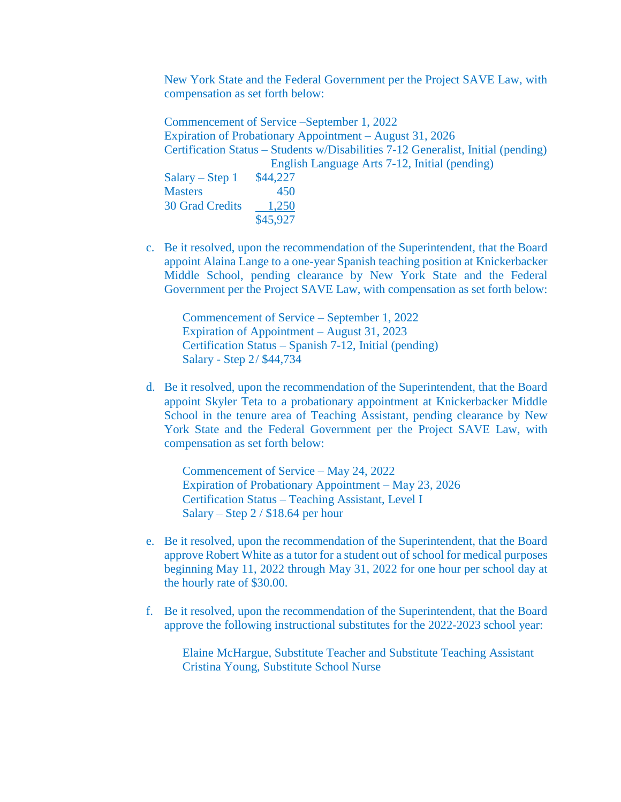New York State and the Federal Government per the Project SAVE Law, with compensation as set forth below:

Commencement of Service –September 1, 2022 Expiration of Probationary Appointment – August 31, 2026 Certification Status – Students w/Disabilities 7-12 Generalist, Initial (pending) English Language Arts 7-12, Initial (pending) Salary – Step 1  $$44,227$ Masters 450 30 Grad Credits 1,250 \$45,927

c. Be it resolved, upon the recommendation of the Superintendent, that the Board appoint Alaina Lange to a one-year Spanish teaching position at Knickerbacker Middle School, pending clearance by New York State and the Federal Government per the Project SAVE Law, with compensation as set forth below:

Commencement of Service – September 1, 2022 Expiration of Appointment – August 31, 2023 Certification Status – Spanish 7-12, Initial (pending) Salary - Step 2/ \$44,734

d. Be it resolved, upon the recommendation of the Superintendent, that the Board appoint Skyler Teta to a probationary appointment at Knickerbacker Middle School in the tenure area of Teaching Assistant, pending clearance by New York State and the Federal Government per the Project SAVE Law, with compensation as set forth below:

Commencement of Service – May 24, 2022 Expiration of Probationary Appointment – May 23, 2026 Certification Status – Teaching Assistant, Level I Salary – Step 2 / \$18.64 per hour

- e. Be it resolved, upon the recommendation of the Superintendent, that the Board approve Robert White as a tutor for a student out of school for medical purposes beginning May 11, 2022 through May 31, 2022 for one hour per school day at the hourly rate of \$30.00.
- f. Be it resolved, upon the recommendation of the Superintendent, that the Board approve the following instructional substitutes for the 2022-2023 school year:

Elaine McHargue, Substitute Teacher and Substitute Teaching Assistant Cristina Young, Substitute School Nurse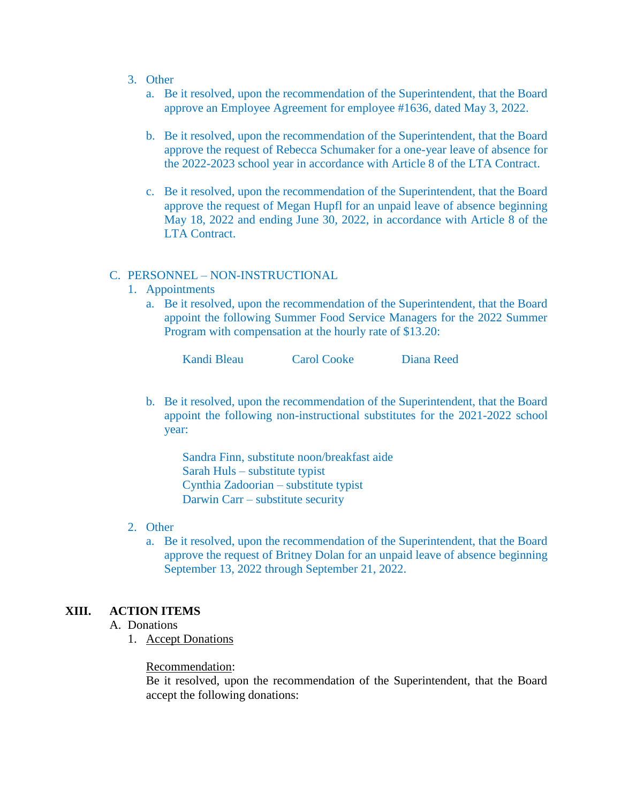- 3. Other
	- a. Be it resolved, upon the recommendation of the Superintendent, that the Board approve an Employee Agreement for employee #1636, dated May 3, 2022.
	- b. Be it resolved, upon the recommendation of the Superintendent, that the Board approve the request of Rebecca Schumaker for a one-year leave of absence for the 2022-2023 school year in accordance with Article 8 of the LTA Contract.
	- c. Be it resolved, upon the recommendation of the Superintendent, that the Board approve the request of Megan Hupfl for an unpaid leave of absence beginning May 18, 2022 and ending June 30, 2022, in accordance with Article 8 of the LTA Contract.

#### C. PERSONNEL – NON-INSTRUCTIONAL

- 1. Appointments
	- a. Be it resolved, upon the recommendation of the Superintendent, that the Board appoint the following Summer Food Service Managers for the 2022 Summer Program with compensation at the hourly rate of \$13.20:

| Kandi Bleau | <b>Carol Cooke</b> | Diana Reed |
|-------------|--------------------|------------|
|-------------|--------------------|------------|

b. Be it resolved, upon the recommendation of the Superintendent, that the Board appoint the following non-instructional substitutes for the 2021-2022 school year:

Sandra Finn, substitute noon/breakfast aide Sarah Huls – substitute typist Cynthia Zadoorian – substitute typist Darwin Carr – substitute security

#### 2. Other

a. Be it resolved, upon the recommendation of the Superintendent, that the Board approve the request of Britney Dolan for an unpaid leave of absence beginning September 13, 2022 through September 21, 2022.

# **XIII. ACTION ITEMS**

- A. Donations
	- 1. Accept Donations

#### Recommendation:

Be it resolved, upon the recommendation of the Superintendent, that the Board accept the following donations: